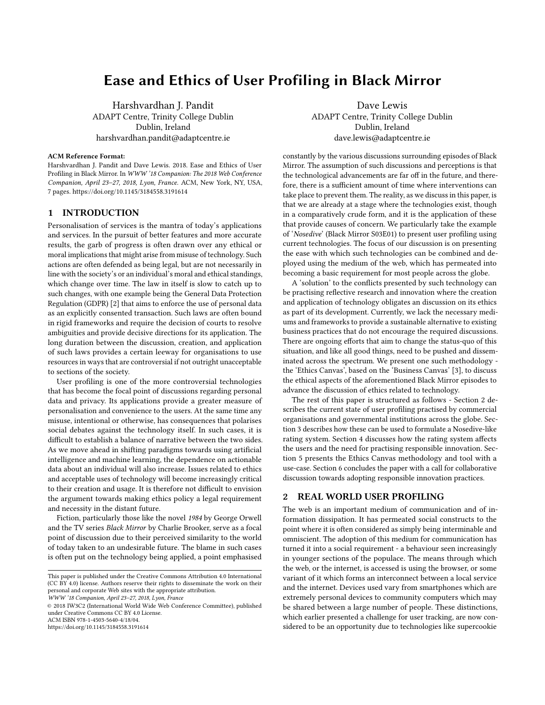# Ease and Ethics of User Profiling in Black Mirror

Harshvardhan J. Pandit ADAPT Centre, Trinity College Dublin Dublin, Ireland harshvardhan.pandit@adaptcentre.ie

Dave Lewis ADAPT Centre, Trinity College Dublin Dublin, Ireland dave.lewis@adaptcentre.ie

### ACM Reference Format:

Harshvardhan J. Pandit and Dave Lewis. 2018. Ease and Ethics of User Profiling in Black Mirror. In WWW '18 Companion: The 2018 Web Conference Companion, April 23–27, 2018, Lyon, France. ACM, New York, NY, USA, [7](#page-6-0) pages.<https://doi.org/10.1145/3184558.3191614>

#### 1 INTRODUCTION

Personalisation of services is the mantra of today's applications and services. In the pursuit of better features and more accurate results, the garb of progress is often drawn over any ethical or moral implications that might arise from misuse of technology. Such actions are often defended as being legal, but are not necessarily in line with the society's or an individual's moral and ethical standings, which change over time. The law in itself is slow to catch up to such changes, with one example being the General Data Protection Regulation (GDPR) [\[2\]](#page-6-1) that aims to enforce the use of personal data as an explicitly consented transaction. Such laws are often bound in rigid frameworks and require the decision of courts to resolve ambiguities and provide decisive directions for its application. The long duration between the discussion, creation, and application of such laws provides a certain leeway for organisations to use resources in ways that are controversial if not outright unacceptable to sections of the society.

User profiling is one of the more controversial technologies that has become the focal point of discussions regarding personal data and privacy. Its applications provide a greater measure of personalisation and convenience to the users. At the same time any misuse, intentional or otherwise, has consequences that polarises social debates against the technology itself. In such cases, it is difficult to establish a balance of narrative between the two sides. As we move ahead in shifting paradigms towards using artificial intelligence and machine learning, the dependence on actionable data about an individual will also increase. Issues related to ethics and acceptable uses of technology will become increasingly critical to their creation and usage. It is therefore not difficult to envision the argument towards making ethics policy a legal requirement and necessity in the distant future.

Fiction, particularly those like the novel 1984 by George Orwell and the TV series Black Mirror by Charlie Brooker, serve as a focal point of discussion due to their perceived similarity to the world of today taken to an undesirable future. The blame in such cases is often put on the technology being applied, a point emphasised

© 2018 IW3C2 (International World Wide Web Conference Committee), published under Creative Commons CC BY 4.0 License.

ACM ISBN 978-1-4503-5640-4/18/04.

<https://doi.org/10.1145/3184558.3191614>

constantly by the various discussions surrounding episodes of Black Mirror. The assumption of such discussions and perceptions is that the technological advancements are far off in the future, and therefore, there is a sufficient amount of time where interventions can take place to prevent them. The reality, as we discuss in this paper, is that we are already at a stage where the technologies exist, though in a comparatively crude form, and it is the application of these that provide causes of concern. We particularly take the example of 'Nosedive' (Black Mirror S03E01) to present user profiling using current technologies. The focus of our discussion is on presenting the ease with which such technologies can be combined and deployed using the medium of the web, which has permeated into becoming a basic requirement for most people across the globe.

A 'solution' to the conflicts presented by such technology can be practising reflective research and innovation where the creation and application of technology obligates an discussion on its ethics as part of its development. Currently, we lack the necessary mediums and frameworks to provide a sustainable alternative to existing business practices that do not encourage the required discussions. There are ongoing efforts that aim to change the status-quo of this situation, and like all good things, need to be pushed and disseminated across the spectrum. We present one such methodology the 'Ethics Canvas', based on the 'Business Canvas' [\[3\]](#page-6-2), to discuss the ethical aspects of the aforementioned Black Mirror episodes to advance the discussion of ethics related to technology.

The rest of this paper is structured as follows - Section 2 describes the current state of user profiling practised by commercial organisations and governmental institutions across the globe. Section 3 describes how these can be used to formulate a Nosedive-like rating system. Section 4 discusses how the rating system affects the users and the need for practising responsible innovation. Section 5 presents the Ethics Canvas methodology and tool with a use-case. Section 6 concludes the paper with a call for collaborative discussion towards adopting responsible innovation practices.

# 2 REAL WORLD USER PROFILING

The web is an important medium of communication and of information dissipation. It has permeated social constructs to the point where it is often considered as simply being interminable and omniscient. The adoption of this medium for communication has turned it into a social requirement - a behaviour seen increasingly in younger sections of the populace. The means through which the web, or the internet, is accessed is using the browser, or some variant of it which forms an interconnect between a local service and the internet. Devices used vary from smartphones which are extremely personal devices to community computers which may be shared between a large number of people. These distinctions, which earlier presented a challenge for user tracking, are now considered to be an opportunity due to technologies like supercookie

This paper is published under the Creative Commons Attribution 4.0 International (CC BY 4.0) license. Authors reserve their rights to disseminate the work on their personal and corporate Web sites with the appropriate attribution.

WWW '18 Companion, April 23–27, 2018, Lyon, France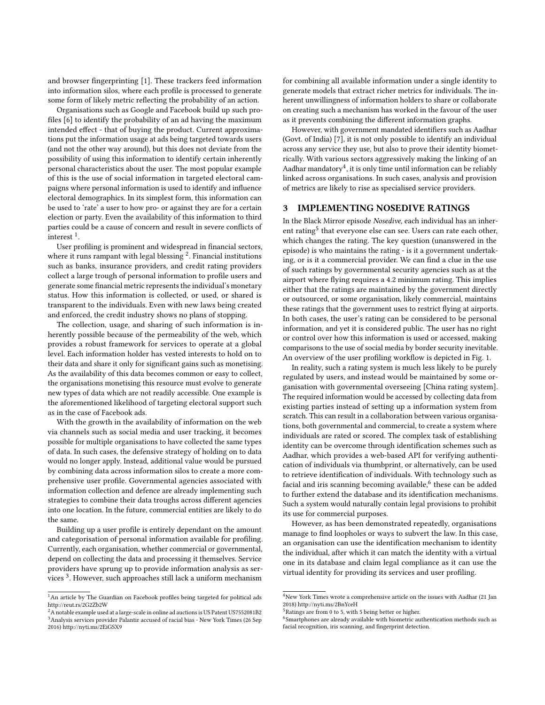and browser fingerprinting [\[1\]](#page-6-3). These trackers feed information into information silos, where each profile is processed to generate some form of likely metric reflecting the probability of an action.

Organisations such as Google and Facebook build up such profiles [\[6\]](#page-6-4) to identify the probability of an ad having the maximum intended effect - that of buying the product. Current approximations put the information usage at ads being targeted towards users (and not the other way around), but this does not deviate from the possibility of using this information to identify certain inherently personal characteristics about the user. The most popular example of this is the use of social information in targeted electoral campaigns where personal information is used to identify and influence electoral demographics. In its simplest form, this information can be used to 'rate' a user to how pro- or against they are for a certain election or party. Even the availability of this information to third parties could be a cause of concern and result in severe conflicts of interest<sup>[1](#page-1-0)</sup>.

User profiling is prominent and widespread in financial sectors, where it runs rampant with legal blessing  $^2$  $^2$ . Financial institutions such as banks, insurance providers, and credit rating providers collect a large trough of personal information to profile users and generate some financial metric represents the individual's monetary status. How this information is collected, or used, or shared is transparent to the individuals. Even with new laws being created and enforced, the credit industry shows no plans of stopping.

The collection, usage, and sharing of such information is inherently possible because of the permeability of the web, which provides a robust framework for services to operate at a global level. Each information holder has vested interests to hold on to their data and share it only for significant gains such as monetising. As the availability of this data becomes common or easy to collect, the organisations monetising this resource must evolve to generate new types of data which are not readily accessible. One example is the aforementioned likelihood of targeting electoral support such as in the case of Facebook ads.

With the growth in the availability of information on the web via channels such as social media and user tracking, it becomes possible for multiple organisations to have collected the same types of data. In such cases, the defensive strategy of holding on to data would no longer apply. Instead, additional value would be pursued by combining data across information silos to create a more comprehensive user profile. Governmental agencies associated with information collection and defence are already implementing such strategies to combine their data troughs across different agencies into one location. In the future, commercial entities are likely to do the same.

Building up a user profile is entirely dependant on the amount and categorisation of personal information available for profiling. Currently, each organisation, whether commercial or governmental, depend on collecting the data and processing it themselves. Service providers have sprung up to provide information analysis as ser-vices <sup>[3](#page-1-2)</sup>. However, such approaches still lack a uniform mechanism

for combining all available information under a single identity to generate models that extract richer metrics for individuals. The inherent unwillingness of information holders to share or collaborate on creating such a mechanism has worked in the favour of the user as it prevents combining the different information graphs.

However, with government mandated identifiers such as Aadhar (Govt. of India) [\[7\]](#page-6-5), it is not only possible to identify an individual across any service they use, but also to prove their identity biometrically. With various sectors aggressively making the linking of an Aadhar mandatory $^4$  $^4$ , it is only time until information can be reliably linked across organisations. In such cases, analysis and provision of metrics are likely to rise as specialised service providers.

# 3 IMPLEMENTING NOSEDIVE RATINGS

In the Black Mirror episode Nosedive, each individual has an inher-ent rating<sup>[5](#page-1-4)</sup> that everyone else can see. Users can rate each other, which changes the rating. The key question (unanswered in the episode) is who maintains the rating - is it a government undertaking, or is it a commercial provider. We can find a clue in the use of such ratings by governmental security agencies such as at the airport where flying requires a 4.2 minimum rating. This implies either that the ratings are maintained by the government directly or outsourced, or some organisation, likely commercial, maintains these ratings that the government uses to restrict flying at airports. In both cases, the user's rating can be considered to be personal information, and yet it is considered public. The user has no right or control over how this information is used or accessed, making comparisons to the use of social media by border security inevitable. An overview of the user profiling workflow is depicted in Fig. [1.](#page-2-0)

In reality, such a rating system is much less likely to be purely regulated by users, and instead would be maintained by some organisation with governmental overseeing [China rating system]. The required information would be accessed by collecting data from existing parties instead of setting up a information system from scratch. This can result in a collaboration between various organisations, both governmental and commercial, to create a system where individuals are rated or scored. The complex task of establishing identity can be overcome through identification schemes such as Aadhar, which provides a web-based API for verifying authentication of individuals via thumbprint, or alternatively, can be used to retrieve identification of individuals. With technology such as facial and iris scanning becoming available, $^6$  $^6$  these can be added to further extend the database and its identification mechanisms. Such a system would naturally contain legal provisions to prohibit its use for commercial purposes.

However, as has been demonstrated repeatedly, organisations manage to find loopholes or ways to subvert the law. In this case, an organisation can use the identification mechanism to identity the individual, after which it can match the identity with a virtual one in its database and claim legal compliance as it can use the virtual identity for providing its services and user profiling.

<span id="page-1-0"></span><sup>&</sup>lt;sup>1</sup>An article by The Guardian on Facebook profiles being targeted for political ads <http://reut.rs/2G2Zb2W>

<span id="page-1-2"></span><span id="page-1-1"></span> $^2\text{A}$  notable example used at a large-scale in online ad auctions is US Patent US7552081B2 <sup>3</sup>Analysis services provider Palantir accused of racial bias - New York Times (26 Sep 2016)<http://nyti.ms/2EiGSX9>

<span id="page-1-3"></span><sup>&</sup>lt;sup>4</sup>New York Times wrote a comprehensive article on the issues with Aadhar (21 Jan 2018)<http://nyti.ms/2BnYceH>

<span id="page-1-4"></span> $5Ratings$  are from 0 to 5, with 5 being better or higher.

<span id="page-1-5"></span><sup>6</sup> Smartphones are already available with biometric authentication methods such as facial recognition, iris scanning, and fingerprint detection.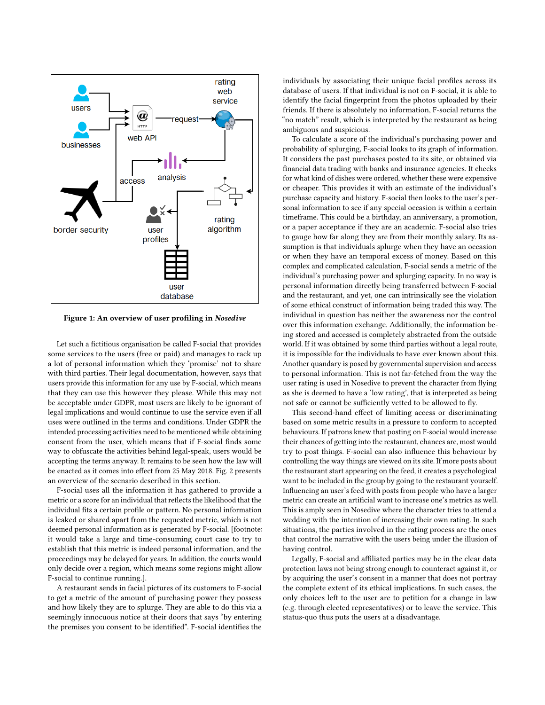<span id="page-2-0"></span>

Figure 1: An overview of user profiling in Nosedive

Let such a fictitious organisation be called F-social that provides some services to the users (free or paid) and manages to rack up a lot of personal information which they 'promise' not to share with third parties. Their legal documentation, however, says that users provide this information for any use by F-social, which means that they can use this however they please. While this may not be acceptable under GDPR, most users are likely to be ignorant of legal implications and would continue to use the service even if all uses were outlined in the terms and conditions. Under GDPR the intended processing activities need to be mentioned while obtaining consent from the user, which means that if F-social finds some way to obfuscate the activities behind legal-speak, users would be accepting the terms anyway. It remains to be seen how the law will be enacted as it comes into effect from 25 May 2018. Fig. [2](#page-3-0) presents an overview of the scenario described in this section.

F-social uses all the information it has gathered to provide a metric or a score for an individual that reflects the likelihood that the individual fits a certain profile or pattern. No personal information is leaked or shared apart from the requested metric, which is not deemed personal information as is generated by F-social. [footnote: it would take a large and time-consuming court case to try to establish that this metric is indeed personal information, and the proceedings may be delayed for years. In addition, the courts would only decide over a region, which means some regions might allow F-social to continue running.].

A restaurant sends in facial pictures of its customers to F-social to get a metric of the amount of purchasing power they possess and how likely they are to splurge. They are able to do this via a seemingly innocuous notice at their doors that says "by entering the premises you consent to be identified". F-social identifies the

individuals by associating their unique facial profiles across its database of users. If that individual is not on F-social, it is able to identify the facial fingerprint from the photos uploaded by their friends. If there is absolutely no information, F-social returns the "no match" result, which is interpreted by the restaurant as being ambiguous and suspicious.

To calculate a score of the individual's purchasing power and probability of splurging, F-social looks to its graph of information. It considers the past purchases posted to its site, or obtained via financial data trading with banks and insurance agencies. It checks for what kind of dishes were ordered, whether these were expensive or cheaper. This provides it with an estimate of the individual's purchase capacity and history. F-social then looks to the user's personal information to see if any special occasion is within a certain timeframe. This could be a birthday, an anniversary, a promotion, or a paper acceptance if they are an academic. F-social also tries to gauge how far along they are from their monthly salary. Its assumption is that individuals splurge when they have an occasion or when they have an temporal excess of money. Based on this complex and complicated calculation, F-social sends a metric of the individual's purchasing power and splurging capacity. In no way is personal information directly being transferred between F-social and the restaurant, and yet, one can intrinsically see the violation of some ethical construct of information being traded this way. The individual in question has neither the awareness nor the control over this information exchange. Additionally, the information being stored and accessed is completely abstracted from the outside world. If it was obtained by some third parties without a legal route, it is impossible for the individuals to have ever known about this. Another quandary is posed by governmental supervision and access to personal information. This is not far-fetched from the way the user rating is used in Nosedive to prevent the character from flying as she is deemed to have a 'low rating', that is interpreted as being not safe or cannot be sufficiently vetted to be allowed to fly.

This second-hand effect of limiting access or discriminating based on some metric results in a pressure to conform to accepted behaviours. If patrons knew that posting on F-social would increase their chances of getting into the restaurant, chances are, most would try to post things. F-social can also influence this behaviour by controlling the way things are viewed on its site. If more posts about the restaurant start appearing on the feed, it creates a psychological want to be included in the group by going to the restaurant yourself. Influencing an user's feed with posts from people who have a larger metric can create an artificial want to increase one's metrics as well. This is amply seen in Nosedive where the character tries to attend a wedding with the intention of increasing their own rating. In such situations, the parties involved in the rating process are the ones that control the narrative with the users being under the illusion of having control.

Legally, F-social and affiliated parties may be in the clear data protection laws not being strong enough to counteract against it, or by acquiring the user's consent in a manner that does not portray the complete extent of its ethical implications. In such cases, the only choices left to the user are to petition for a change in law (e.g. through elected representatives) or to leave the service. This status-quo thus puts the users at a disadvantage.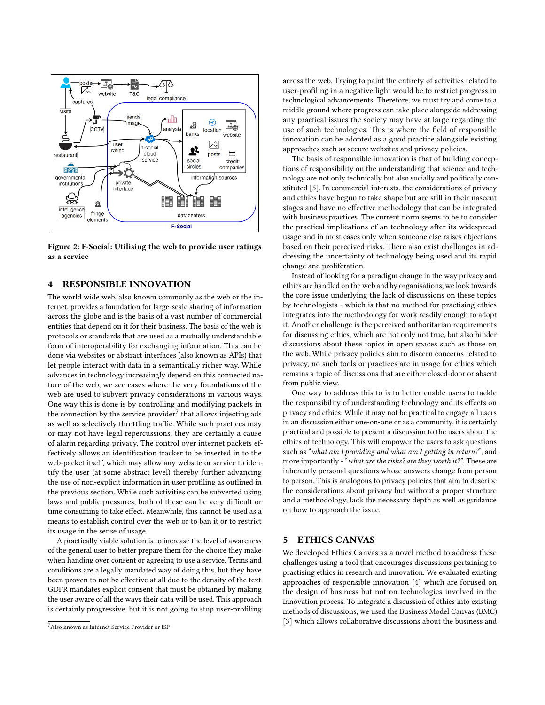<span id="page-3-0"></span>

Figure 2: F-Social: Utilising the web to provide user ratings as a service

# 4 RESPONSIBLE INNOVATION

The world wide web, also known commonly as the web or the internet, provides a foundation for large-scale sharing of information across the globe and is the basis of a vast number of commercial entities that depend on it for their business. The basis of the web is protocols or standards that are used as a mutually understandable form of interoperability for exchanging information. This can be done via websites or abstract interfaces (also known as APIs) that let people interact with data in a semantically richer way. While advances in technology increasingly depend on this connected nature of the web, we see cases where the very foundations of the web are used to subvert privacy considerations in various ways. One way this is done is by controlling and modifying packets in the connection by the service provider $^7$  $^7$  that allows injecting ads as well as selectively throttling traffic. While such practices may or may not have legal repercussions, they are certainly a cause of alarm regarding privacy. The control over internet packets effectively allows an identification tracker to be inserted in to the web-packet itself, which may allow any website or service to identify the user (at some abstract level) thereby further advancing the use of non-explicit information in user profiling as outlined in the previous section. While such activities can be subverted using laws and public pressures, both of these can be very difficult or time consuming to take effect. Meanwhile, this cannot be used as a means to establish control over the web or to ban it or to restrict its usage in the sense of usage.

A practically viable solution is to increase the level of awareness of the general user to better prepare them for the choice they make when handing over consent or agreeing to use a service. Terms and conditions are a legally mandated way of doing this, but they have been proven to not be effective at all due to the density of the text. GDPR mandates explicit consent that must be obtained by making the user aware of all the ways their data will be used. This approach is certainly progressive, but it is not going to stop user-profiling across the web. Trying to paint the entirety of activities related to user-profiling in a negative light would be to restrict progress in technological advancements. Therefore, we must try and come to a middle ground where progress can take place alongside addressing any practical issues the society may have at large regarding the use of such technologies. This is where the field of responsible innovation can be adopted as a good practice alongside existing approaches such as secure websites and privacy policies.

The basis of responsible innovation is that of building conceptions of responsibility on the understanding that science and technology are not only technically but also socially and politically constituted [\[5\]](#page-6-6). In commercial interests, the considerations of privacy and ethics have begun to take shape but are still in their nascent stages and have no effective methodology that can be integrated with business practices. The current norm seems to be to consider the practical implications of an technology after its widespread usage and in most cases only when someone else raises objections based on their perceived risks. There also exist challenges in addressing the uncertainty of technology being used and its rapid change and proliferation.

Instead of looking for a paradigm change in the way privacy and ethics are handled on the web and by organisations, we look towards the core issue underlying the lack of discussions on these topics by technologists - which is that no method for practising ethics integrates into the methodology for work readily enough to adopt it. Another challenge is the perceived authoritarian requirements for discussing ethics, which are not only not true, but also hinder discussions about these topics in open spaces such as those on the web. While privacy policies aim to discern concerns related to privacy, no such tools or practices are in usage for ethics which remains a topic of discussions that are either closed-door or absent from public view.

One way to address this to is to better enable users to tackle the responsibility of understanding technology and its effects on privacy and ethics. While it may not be practical to engage all users in an discussion either one-on-one or as a community, it is certainly practical and possible to present a discussion to the users about the ethics of technology. This will empower the users to ask questions such as "what am I providing and what am I getting in return?", and more importantly - "what are the risks? are they worth it?". These are inherently personal questions whose answers change from person to person. This is analogous to privacy policies that aim to describe the considerations about privacy but without a proper structure and a methodology, lack the necessary depth as well as guidance on how to approach the issue.

#### 5 ETHICS CANVAS

We developed Ethics Canvas as a novel method to address these challenges using a tool that encourages discussions pertaining to practising ethics in research and innovation. We evaluated existing approaches of responsible innovation [\[4\]](#page-6-7) which are focused on the design of business but not on technologies involved in the innovation process. To integrate a discussion of ethics into existing methods of discussions, we used the Business Model Canvas (BMC) [\[3\]](#page-6-2) which allows collaborative discussions about the business and

<span id="page-3-1"></span><sup>7</sup>Also known as Internet Service Provider or ISP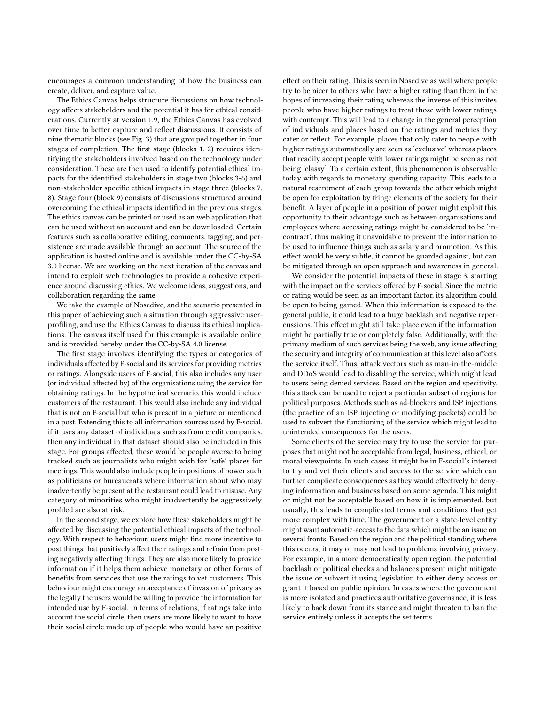encourages a common understanding of how the business can create, deliver, and capture value.

The Ethics Canvas helps structure discussions on how technology affects stakeholders and the potential it has for ethical considerations. Currently at version 1.9, the Ethics Canvas has evolved over time to better capture and reflect discussions. It consists of nine thematic blocks (see Fig. [3\)](#page-5-0) that are grouped together in four stages of completion. The first stage (blocks 1, 2) requires identifying the stakeholders involved based on the technology under consideration. These are then used to identify potential ethical impacts for the identified stakeholders in stage two (blocks 3-6) and non-stakeholder specific ethical impacts in stage three (blocks 7, 8). Stage four (block 9) consists of discussions structured around overcoming the ethical impacts identified in the previous stages. The ethics canvas can be printed or used as an web application that can be used without an account and can be downloaded. Certain features such as collaborative editing, comments, tagging, and persistence are made available through an account. The source of the application is hosted online and is available under the CC-by-SA 3.0 license. We are working on the next iteration of the canvas and intend to exploit web technologies to provide a cohesive experience around discussing ethics. We welcome ideas, suggestions, and collaboration regarding the same.

We take the example of Nosedive, and the scenario presented in this paper of achieving such a situation through aggressive userprofiling, and use the Ethics Canvas to discuss its ethical implications. The canvas itself used for this example is available online and is provided hereby under the CC-by-SA 4.0 license.

The first stage involves identifying the types or categories of individuals affected by F-social and its services for providing metrics or ratings. Alongside users of F-social, this also includes any user (or individual affected by) of the organisations using the service for obtaining ratings. In the hypothetical scenario, this would include customers of the restaurant. This would also include any individual that is not on F-social but who is present in a picture or mentioned in a post. Extending this to all information sources used by F-social, if it uses any dataset of individuals such as from credit companies, then any individual in that dataset should also be included in this stage. For groups affected, these would be people averse to being tracked such as journalists who might wish for 'safe' places for meetings. This would also include people in positions of power such as politicians or bureaucrats where information about who may inadvertently be present at the restaurant could lead to misuse. Any category of minorities who might inadvertently be aggressively profiled are also at risk.

In the second stage, we explore how these stakeholders might be affected by discussing the potential ethical impacts of the technology. With respect to behaviour, users might find more incentive to post things that positively affect their ratings and refrain from posting negatively affecting things. They are also more likely to provide information if it helps them achieve monetary or other forms of benefits from services that use the ratings to vet customers. This behaviour might encourage an acceptance of invasion of privacy as the legally the users would be willing to provide the information for intended use by F-social. In terms of relations, if ratings take into account the social circle, then users are more likely to want to have their social circle made up of people who would have an positive

effect on their rating. This is seen in Nosedive as well where people try to be nicer to others who have a higher rating than them in the hopes of increasing their rating whereas the inverse of this invites people who have higher ratings to treat those with lower ratings with contempt. This will lead to a change in the general perception of individuals and places based on the ratings and metrics they cater or reflect. For example, places that only cater to people with higher ratings automatically are seen as 'exclusive' whereas places that readily accept people with lower ratings might be seen as not being 'classy'. To a certain extent, this phenomenon is observable today with regards to monetary spending capacity. This leads to a natural resentment of each group towards the other which might be open for exploitation by fringe elements of the society for their benefit. A layer of people in a position of power might exploit this opportunity to their advantage such as between organisations and employees where accessing ratings might be considered to be 'incontract', thus making it unavoidable to prevent the information to be used to influence things such as salary and promotion. As this effect would be very subtle, it cannot be guarded against, but can be mitigated through an open approach and awareness in general.

We consider the potential impacts of these in stage 3, starting with the impact on the services offered by F-social. Since the metric or rating would be seen as an important factor, its algorithm could be open to being gamed. When this information is exposed to the general public, it could lead to a huge backlash and negative repercussions. This effect might still take place even if the information might be partially true or completely false. Additionally, with the primary medium of such services being the web, any issue affecting the security and integrity of communication at this level also affects the service itself. Thus, attack vectors such as man-in-the-middle and DDoS would lead to disabling the service, which might lead to users being denied services. Based on the region and specitivity, this attack can be used to reject a particular subset of regions for political purposes. Methods such as ad-blockers and ISP injections (the practice of an ISP injecting or modifying packets) could be used to subvert the functioning of the service which might lead to unintended consequences for the users.

Some clients of the service may try to use the service for purposes that might not be acceptable from legal, business, ethical, or moral viewpoints. In such cases, it might be in F-social's interest to try and vet their clients and access to the service which can further complicate consequences as they would effectively be denying information and business based on some agenda. This might or might not be acceptable based on how it is implemented, but usually, this leads to complicated terms and conditions that get more complex with time. The government or a state-level entity might want automatic-access to the data which might be an issue on several fronts. Based on the region and the political standing where this occurs, it may or may not lead to problems involving privacy. For example, in a more democratically open region, the potential backlash or political checks and balances present might mitigate the issue or subvert it using legislation to either deny access or grant it based on public opinion. In cases where the government is more isolated and practices authoritative governance, it is less likely to back down from its stance and might threaten to ban the service entirely unless it accepts the set terms.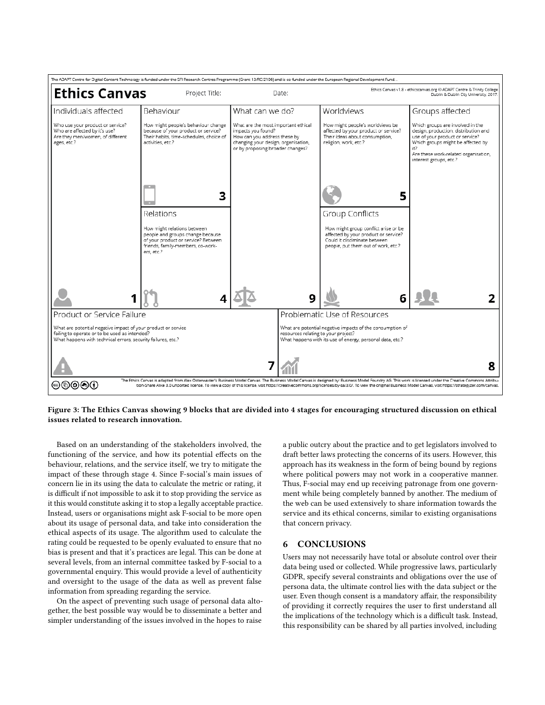<span id="page-5-0"></span>

Figure 3: The Ethics Canvas showing 9 blocks that are divided into 4 stages for encouraging structured discussion on ethical issues related to research innovation.

Based on an understanding of the stakeholders involved, the functioning of the service, and how its potential effects on the behaviour, relations, and the service itself, we try to mitigate the impact of these through stage 4. Since F-social's main issues of concern lie in its using the data to calculate the metric or rating, it is difficult if not impossible to ask it to stop providing the service as it this would constitute asking it to stop a legally acceptable practice. Instead, users or organisations might ask F-social to be more open about its usage of personal data, and take into consideration the ethical aspects of its usage. The algorithm used to calculate the rating could be requested to be openly evaluated to ensure that no bias is present and that it's practices are legal. This can be done at several levels, from an internal committee tasked by F-social to a governmental enquiry. This would provide a level of authenticity and oversight to the usage of the data as well as prevent false information from spreading regarding the service.

On the aspect of preventing such usage of personal data altogether, the best possible way would be to disseminate a better and simpler understanding of the issues involved in the hopes to raise

a public outcry about the practice and to get legislators involved to draft better laws protecting the concerns of its users. However, this approach has its weakness in the form of being bound by regions where political powers may not work in a cooperative manner. Thus, F-social may end up receiving patronage from one government while being completely banned by another. The medium of the web can be used extensively to share information towards the service and its ethical concerns, similar to existing organisations that concern privacy.

#### 6 CONCLUSIONS

Users may not necessarily have total or absolute control over their data being used or collected. While progressive laws, particularly GDPR, specify several constraints and obligations over the use of persona data, the ultimate control lies with the data subject or the user. Even though consent is a mandatory affair, the responsibility of providing it correctly requires the user to first understand all the implications of the technology which is a difficult task. Instead, this responsibility can be shared by all parties involved, including